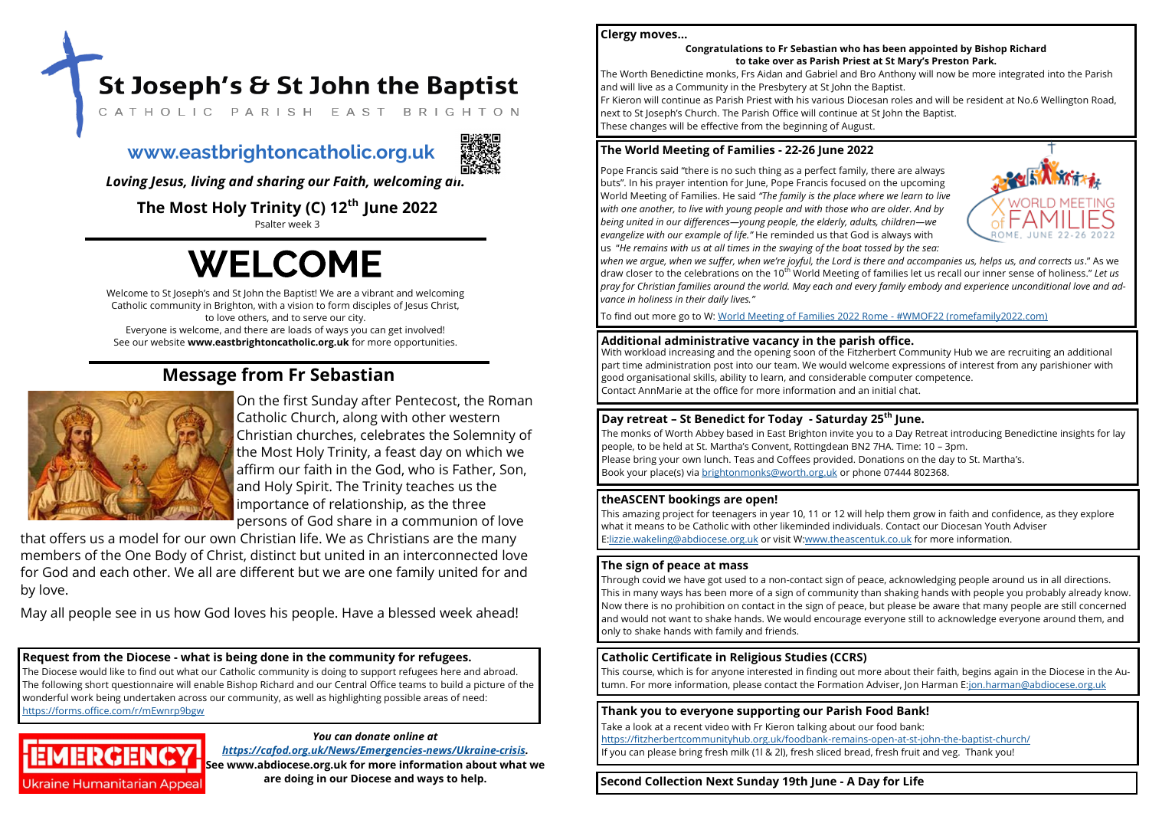Welcome to St Joseph's and St John the Baptist! We are a vibrant and welcoming Catholic community in Brighton, with a vision to form disciples of Jesus Christ, to love others, and to serve our city. Everyone is welcome, and there are loads of ways you can get involved! See our website **www.eastbrightoncatholic.org.uk** for more opportunities.

**The Most Holy Trinity (C) 12th June 2022**

Psalter week 3

# **WELCOME**

*Loving Jesus, living and sharing our Faith, welcoming all.*

## **Message from Fr Sebastian**



On the first Sunday after Pentecost, the Roman Catholic Church, along with other western Christian churches, celebrates the Solemnity of the Most Holy Trinity, a feast day on which we affirm our faith in the God, who is Father, Son, and Holy Spirit. The Trinity teaches us the importance of relationship, as the three persons of God share in a communion of love

that offers us a model for our own Christian life. We as Christians are the many members of the One Body of Christ, distinct but united in an interconnected love for God and each other. We all are different but we are one family united for and by love.

May all people see in us how God loves his people. Have a blessed week ahead!

## *You can donate online at*

*[https://cafod.org.uk/News/Emergencies](https://eur02.safelinks.protection.outlook.com/?url=https%3A%2F%2Fcafod.org.uk%2FNews%2FEmergencies-news%2FUkraine-crisis&data=04%7C01%7Ceastbrighton%40abdiocese.org.uk%7C10a0f5d49e7740513f8208da02bc41f4%7C2bf5dbc217ef4efca1c9ab2dc4edefd0%7C0%7C0%7C6378253048)-news/Ukraine-crisis.*  **See www.abdiocese.org.uk for more information about what we are doing in our Diocese and ways to help.** 

## **Request from the Diocese - what is being done in the community for refugees.**

The Diocese would like to find out what our Catholic community is doing to support refugees here and abroad. The following short questionnaire will enable Bishop Richard and our Central Office teams to build a picture of the wonderful work being undertaken across our community, as well as highlighting possible areas of need: <https://forms.office.com/r/mEwnrp9bgw>



## **www.eastbrightoncatholic.org.uk**



**Second Collection Next Sunday 19th June - A Day for Life**



## **The sign of peace at mass**

Through covid we have got used to a non-contact sign of peace, acknowledging people around us in all directions. This in many ways has been more of a sign of community than shaking hands with people you probably already know. Now there is no prohibition on contact in the sign of peace, but please be aware that many people are still concerned and would not want to shake hands. We would encourage everyone still to acknowledge everyone around them, and only to shake hands with family and friends.

**Thank you to everyone supporting our Parish Food Bank!**

Take a look at a recent video with Fr Kieron talking about our food bank: [https://fitzherbertcommunityhub.org.uk/foodbank](https://fitzherbertcommunityhub.org.uk/foodbank-remains-open-at-st-john-the-baptist-church/)-remains-open-at-st-john-the-baptist-church/ If you can please bring fresh milk (1l & 2l), fresh sliced bread, fresh fruit and veg. Thank you!

**Clergy moves…**

## **Congratulations to Fr Sebastian who has been appointed by Bishop Richard to take over as Parish Priest at St Mary's Preston Park.**

St Joseph's & St John the Baptist CATHOLIC PARISH EAST BRIGHTON

The Worth Benedictine monks, Frs Aidan and Gabriel and Bro Anthony will now be more integrated into the Parish and will live as a Community in the Presbytery at St John the Baptist. Fr Kieron will continue as Parish Priest with his various Diocesan roles and will be resident at No.6 Wellington Road, next to St Joseph's Church. The Parish Office will continue at St John the Baptist. These changes will be effective from the beginning of August.

## **Day retreat – St Benedict for Today - Saturday 25th June.**

The monks of Worth Abbey based in East Brighton invite you to a Day Retreat introducing Benedictine insights for lay people, to be held at St. Martha's Convent, Rottingdean BN2 7HA. Time: 10 – 3pm. Please bring your own lunch. Teas and Coffees provided. Donations on the day to St. Martha's. Book your place(s) via [brightonmonks@worth.org.uk](mailto:brightonmonks@worth.org.uk) or phone 07444 802368.

## **The World Meeting of Families - 22-26 June 2022**

Pope Francis said "there is no such thing as a perfect family, there are always buts". In his prayer intention for June, Pope Francis focused on the upcoming World Meeting of Families. He said *"The family is the place where we learn to live with one another, to live with young people and with those who are older. And by being united in our differences—young people, the elderly, adults, children—we evangelize with our example of life."* He reminded us that God is always with us "*He remains with us at all times in the swaying of the boat tossed by the sea: when we argue, when we suffer, when we're joyful, the Lord is there and accompanies us, helps us, and corrects us*." As we draw closer to the celebrations on the 10th World Meeting of families let us recall our inner sense of holiness." *Let us pray for Christian families around the world. May each and every family embody and experience unconditional love and advance in holiness in their daily lives."*

To find out more go to W: [World Meeting of Families 2022 Rome](https://www.romefamily2022.com/en/) - #WMOF22 (romefamily2022.com)

## **Catholic Certificate in Religious Studies (CCRS)**

This course, which is for anyone interested in finding out more about their faith, begins again in the Diocese in the Autumn. For more information, please contact the Formation Adviser, Jon Harman E:[jon.harman@abdiocese.org.uk](mailto:jon.harman@abdiocese.org.uk)

**Additional administrative vacancy in the parish office.** With workload increasing and the opening soon of the Fitzherbert Community Hub we are recruiting an additional part time administration post into our team. We would welcome expressions of interest from any parishioner with good organisational skills, ability to learn, and considerable computer competence. Contact AnnMarie at the office for more information and an initial chat.

## **theASCENT bookings are open!**

This amazing project for teenagers in year 10, 11 or 12 will help them grow in faith and confidence, as they explore what it means to be Catholic with other likeminded individuals. Contact our Diocesan Youth Adviser E[:lizzie.wakeling@abdiocese.org.uk](mailto:lizzie.wakeling@abdiocese.org.uk) or visit W[:www.theascentuk.co.uk](http://www.theascentuk.co.uk) for more information.